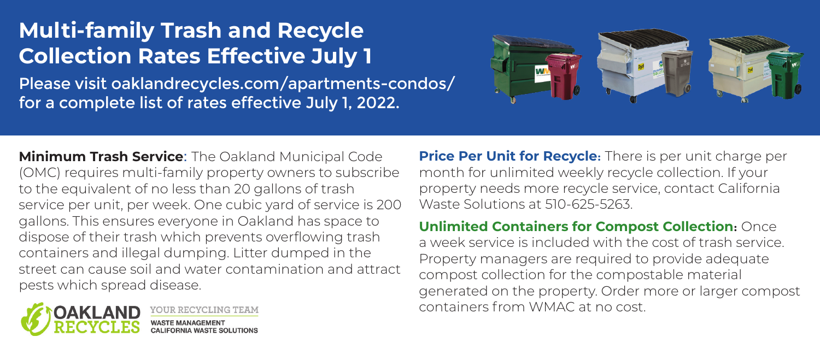## **Multi-family Trash and Recycle Collection Rates Effective July 1**

Please visit oaklandrecycles.com/apartments-condos/ for a complete list of rates effective July 1, 2022.



**Minimum Trash Service**: The Oakland Municipal Code (OMC) requires multi-family property owners to subscribe to the equivalent of no less than 20 gallons of trash service per unit, per week. One cubic yard of service is 200 gallons. This ensures everyone in Oakland has space to dispose of their trash which prevents overflowing trash containers and illegal dumping. Litter dumped in the street can cause soil and water contamination and attract pests which spread disease.



**OUR RECYCLING TEAM** 

**Price Per Unit for Recycle:** There is per unit charge per month for unlimited weekly recycle collection. If your property needs more recycle service, contact California Waste Solutions at 510-625-5263.

**Unlimited Containers for Compost Collection**: Once a week service is included with the cost of trash service. Property managers are required to provide adequate compost collection for the compostable material generated on the property. Order more or larger compost containers from WMAC at no cost.